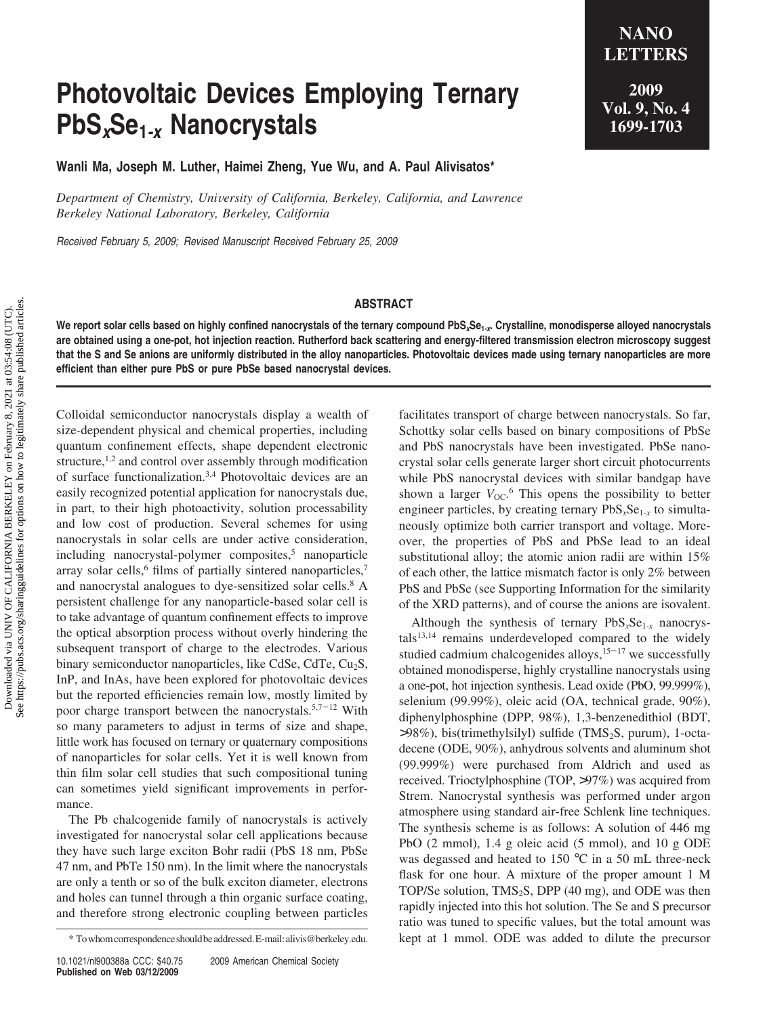## **Photovoltaic Devices Employing Ternary PbS***x***Se1***-x* **Nanocrystals**

**Wanli Ma, Joseph M. Luther, Haimei Zheng, Yue Wu, and A. Paul Alivisatos\***

*Department of Chemistry, University of California, Berkeley, California, and Lawrence Berkeley National Laboratory, Berkeley, California*

*Received February 5, 2009; Revised Manuscript Received February 25, 2009*

## **ABSTRACT**

**We report solar cells based on highly confined nanocrystals of the ternary compound PbS***x***Se1***-x***. Crystalline, monodisperse alloyed nanocrystals are obtained using a one-pot, hot injection reaction. Rutherford back scattering and energy-filtered transmission electron microscopy suggest that the S and Se anions are uniformly distributed in the alloy nanoparticles. Photovoltaic devices made using ternary nanoparticles are more efficient than either pure PbS or pure PbSe based nanocrystal devices.**

Colloidal semiconductor nanocrystals display a wealth of size-dependent physical and chemical properties, including quantum confinement effects, shape dependent electronic structure, $1,2$  and control over assembly through modification of surface functionalization.3,4 Photovoltaic devices are an easily recognized potential application for nanocrystals due, in part, to their high photoactivity, solution processability and low cost of production. Several schemes for using nanocrystals in solar cells are under active consideration, including nanocrystal-polymer composites, $5$  nanoparticle array solar cells, $6$  films of partially sintered nanoparticles, $7$ and nanocrystal analogues to dye-sensitized solar cells.<sup>8</sup> A persistent challenge for any nanoparticle-based solar cell is to take advantage of quantum confinement effects to improve the optical absorption process without overly hindering the subsequent transport of charge to the electrodes. Various binary semiconductor nanoparticles, like CdSe, CdTe, Cu<sub>2</sub>S, InP, and InAs, have been explored for photovoltaic devices but the reported efficiencies remain low, mostly limited by poor charge transport between the nanocrystals.<sup>5,7-12</sup> With so many parameters to adjust in terms of size and shape, little work has focused on ternary or quaternary compositions of nanoparticles for solar cells. Yet it is well known from thin film solar cell studies that such compositional tuning can sometimes yield significant improvements in performance.

The Pb chalcogenide family of nanocrystals is actively investigated for nanocrystal solar cell applications because they have such large exciton Bohr radii (PbS 18 nm, PbSe 47 nm, and PbTe 150 nm). In the limit where the nanocrystals are only a tenth or so of the bulk exciton diameter, electrons and holes can tunnel through a thin organic surface coating, and therefore strong electronic coupling between particles

10.1021/nl900388a CCC: \$40.75 2009 American Chemical Society **Published on Web 03/12/2009**

facilitates transport of charge between nanocrystals. So far, Schottky solar cells based on binary compositions of PbSe and PbS nanocrystals have been investigated. PbSe nanocrystal solar cells generate larger short circuit photocurrents while PbS nanocrystal devices with similar bandgap have shown a larger  $V_{\text{OC}}$ <sup>6</sup>. This opens the possibility to better engineer particles, by creating ternary  $PbS<sub>x</sub>Se<sub>1-x</sub>$  to simultaneously optimize both carrier transport and voltage. Moreover, the properties of PbS and PbSe lead to an ideal substitutional alloy; the atomic anion radii are within 15% of each other, the lattice mismatch factor is only 2% between PbS and PbSe (see Supporting Information for the similarity of the XRD patterns), and of course the anions are isovalent.

Although the synthesis of ternary PbS<sub>x</sub>Se<sub>1-x</sub> nanocrys $tals<sup>13,14</sup>$  remains underdeveloped compared to the widely studied cadmium chalcogenides alloys, $15-17$  we successfully obtained monodisperse, highly crystalline nanocrystals using a one-pot, hot injection synthesis. Lead oxide (PbO, 99.999%), selenium (99.99%), oleic acid (OA, technical grade, 90%), diphenylphosphine (DPP, 98%), 1,3-benzenedithiol (BDT,  $>98\%$ ), bis(trimethylsilyl) sulfide (TMS<sub>2</sub>S, purum), 1-octadecene (ODE, 90%), anhydrous solvents and aluminum shot (99.999%) were purchased from Aldrich and used as received. Trioctylphosphine (TOP, >97%) was acquired from Strem. Nanocrystal synthesis was performed under argon atmosphere using standard air-free Schlenk line techniques. The synthesis scheme is as follows: A solution of 446 mg PbO (2 mmol), 1.4 g oleic acid (5 mmol), and 10 g ODE was degassed and heated to 150 °C in a 50 mL three-neck flask for one hour. A mixture of the proper amount 1 M TOP/Se solution,  $TMS_2S$ , DPP (40 mg), and ODE was then rapidly injected into this hot solution. The Se and S precursor ratio was tuned to specific values, but the total amount was \* Towhomcorrespondenceshouldbeaddressed.E-mail:alivis@berkeley.edu. kept at 1 mmol. ODE was added to dilute the precursor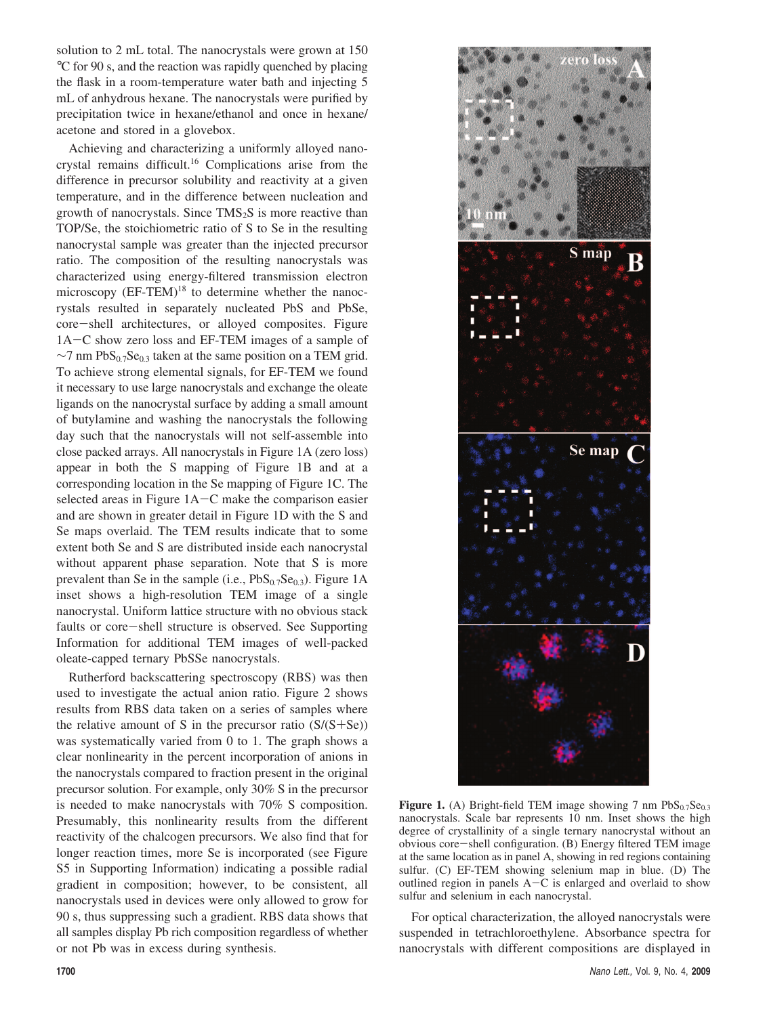solution to 2 mL total. The nanocrystals were grown at 150 °C for 90 s, and the reaction was rapidly quenched by placing the flask in a room-temperature water bath and injecting 5 mL of anhydrous hexane. The nanocrystals were purified by precipitation twice in hexane/ethanol and once in hexane/ acetone and stored in a glovebox.

Achieving and characterizing a uniformly alloyed nanocrystal remains difficult.16 Complications arise from the difference in precursor solubility and reactivity at a given temperature, and in the difference between nucleation and growth of nanocrystals. Since  $TMS<sub>2</sub>S$  is more reactive than TOP/Se, the stoichiometric ratio of S to Se in the resulting nanocrystal sample was greater than the injected precursor ratio. The composition of the resulting nanocrystals was characterized using energy-filtered transmission electron microscopy  $(EF-TEM)^{18}$  to determine whether the nanocrystals resulted in separately nucleated PbS and PbSe, core-shell architectures, or alloyed composites. Figure 1A-C show zero loss and EF-TEM images of a sample of ∼7 nm PbS<sub>0.7</sub>Se<sub>0.3</sub> taken at the same position on a TEM grid. To achieve strong elemental signals, for EF-TEM we found it necessary to use large nanocrystals and exchange the oleate ligands on the nanocrystal surface by adding a small amount of butylamine and washing the nanocrystals the following day such that the nanocrystals will not self-assemble into close packed arrays. All nanocrystals in Figure 1A (zero loss) appear in both the S mapping of Figure 1B and at a corresponding location in the Se mapping of Figure 1C. The selected areas in Figure 1A–C make the comparison easier and are shown in greater detail in Figure 1D with the S and Se maps overlaid. The TEM results indicate that to some extent both Se and S are distributed inside each nanocrystal without apparent phase separation. Note that S is more prevalent than Se in the sample (i.e.,  $PbS<sub>0.7</sub>Se<sub>0.3</sub>$ ). Figure 1A inset shows a high-resolution TEM image of a single nanocrystal. Uniform lattice structure with no obvious stack faults or core-shell structure is observed. See Supporting Information for additional TEM images of well-packed oleate-capped ternary PbSSe nanocrystals.

Rutherford backscattering spectroscopy (RBS) was then used to investigate the actual anion ratio. Figure 2 shows results from RBS data taken on a series of samples where the relative amount of S in the precursor ratio  $(S/(S+Se))$ was systematically varied from 0 to 1. The graph shows a clear nonlinearity in the percent incorporation of anions in the nanocrystals compared to fraction present in the original precursor solution. For example, only 30% S in the precursor is needed to make nanocrystals with 70% S composition. Presumably, this nonlinearity results from the different reactivity of the chalcogen precursors. We also find that for longer reaction times, more Se is incorporated (see Figure S5 in Supporting Information) indicating a possible radial gradient in composition; however, to be consistent, all nanocrystals used in devices were only allowed to grow for 90 s, thus suppressing such a gradient. RBS data shows that all samples display Pb rich composition regardless of whether or not Pb was in excess during synthesis.



**Figure 1.** (A) Bright-field TEM image showing 7 nm  $PbS_{0.7}Se_{0.3}$ nanocrystals. Scale bar represents 10 nm. Inset shows the high degree of crystallinity of a single ternary nanocrystal without an obvious core-shell configuration. (B) Energy filtered TEM image at the same location as in panel A, showing in red regions containing sulfur. (C) EF-TEM showing selenium map in blue. (D) The outlined region in panels  $A-C$  is enlarged and overlaid to show sulfur and selenium in each nanocrystal.

For optical characterization, the alloyed nanocrystals were suspended in tetrachloroethylene. Absorbance spectra for nanocrystals with different compositions are displayed in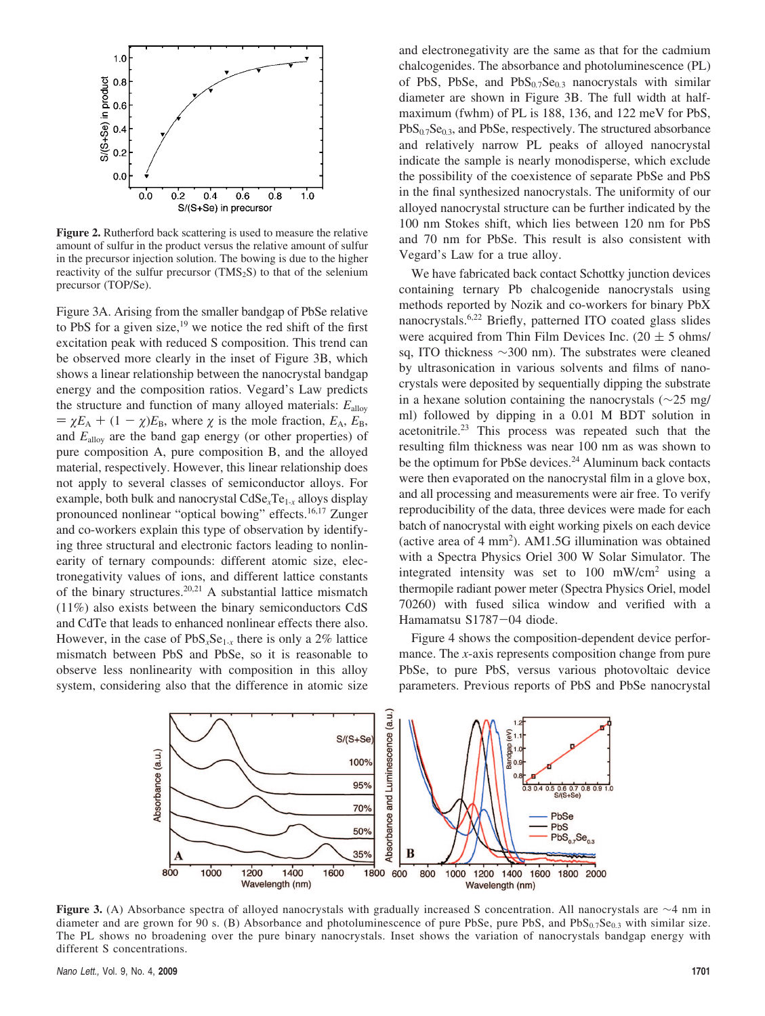

**Figure 2.** Rutherford back scattering is used to measure the relative amount of sulfur in the product versus the relative amount of sulfur in the precursor injection solution. The bowing is due to the higher reactivity of the sulfur precursor (TMS<sub>2</sub>S) to that of the selenium precursor (TOP/Se).

Figure 3A. Arising from the smaller bandgap of PbSe relative to PbS for a given size, $19$  we notice the red shift of the first excitation peak with reduced S composition. This trend can be observed more clearly in the inset of Figure 3B, which shows a linear relationship between the nanocrystal bandgap energy and the composition ratios. Vegard's Law predicts the structure and function of many alloyed materials: *E*alloy  $\chi = \chi E_A + (1 - \chi)E_B$ , where  $\chi$  is the mole fraction,  $E_A$ ,  $E_B$ , and *E*alloy are the band gap energy (or other properties) of pure composition A, pure composition B, and the alloyed material, respectively. However, this linear relationship does not apply to several classes of semiconductor alloys. For example, both bulk and nanocrystal CdSe*x*Te1-*<sup>x</sup>* alloys display pronounced nonlinear "optical bowing" effects.<sup>16,17</sup> Zunger and co-workers explain this type of observation by identifying three structural and electronic factors leading to nonlinearity of ternary compounds: different atomic size, electronegativity values of ions, and different lattice constants of the binary structures.<sup>20,21</sup> A substantial lattice mismatch (11%) also exists between the binary semiconductors CdS and CdTe that leads to enhanced nonlinear effects there also. However, in the case of  $PbS<sub>x</sub>Se<sub>1-x</sub>$  there is only a 2% lattice mismatch between PbS and PbSe, so it is reasonable to observe less nonlinearity with composition in this alloy system, considering also that the difference in atomic size and electronegativity are the same as that for the cadmium chalcogenides. The absorbance and photoluminescence (PL) of PbS, PbSe, and PbS<sub>0.7</sub>Se<sub>0.3</sub> nanocrystals with similar diameter are shown in Figure 3B. The full width at halfmaximum (fwhm) of PL is 188, 136, and 122 meV for PbS, PbS<sub>0.7</sub>Se<sub>0.3</sub>, and PbSe, respectively. The structured absorbance and relatively narrow PL peaks of alloyed nanocrystal indicate the sample is nearly monodisperse, which exclude the possibility of the coexistence of separate PbSe and PbS in the final synthesized nanocrystals. The uniformity of our alloyed nanocrystal structure can be further indicated by the 100 nm Stokes shift, which lies between 120 nm for PbS and 70 nm for PbSe. This result is also consistent with Vegard's Law for a true alloy.

We have fabricated back contact Schottky junction devices containing ternary Pb chalcogenide nanocrystals using methods reported by Nozik and co-workers for binary PbX nanocrystals.6,22 Briefly, patterned ITO coated glass slides were acquired from Thin Film Devices Inc. (20  $\pm$  5 ohms/ sq, ITO thickness ∼300 nm). The substrates were cleaned by ultrasonication in various solvents and films of nanocrystals were deposited by sequentially dipping the substrate in a hexane solution containing the nanocrystals (∼25 mg/ ml) followed by dipping in a 0.01 M BDT solution in acetonitrile.23 This process was repeated such that the resulting film thickness was near 100 nm as was shown to be the optimum for PbSe devices.<sup>24</sup> Aluminum back contacts were then evaporated on the nanocrystal film in a glove box, and all processing and measurements were air free. To verify reproducibility of the data, three devices were made for each batch of nanocrystal with eight working pixels on each device (active area of  $4 \text{ mm}^2$ ). AM1.5G illumination was obtained with a Spectra Physics Oriel 300 W Solar Simulator. The integrated intensity was set to 100 mW/cm2 using a thermopile radiant power meter (Spectra Physics Oriel, model 70260) with fused silica window and verified with a Hamamatsu S1787-04 diode.

Figure 4 shows the composition-dependent device performance. The *x*-axis represents composition change from pure PbSe, to pure PbS, versus various photovoltaic device parameters. Previous reports of PbS and PbSe nanocrystal



**Figure 3.** (A) Absorbance spectra of alloyed nanocrystals with gradually increased S concentration. All nanocrystals are ∼4 nm in diameter and are grown for 90 s. (B) Absorbance and photoluminescence of pure PbSe, pure PbS, and PbS<sub>0.7</sub>Se<sub>0.3</sub> with similar size. The PL shows no broadening over the pure binary nanocrystals. Inset shows the variation of nanocrystals bandgap energy with different S concentrations.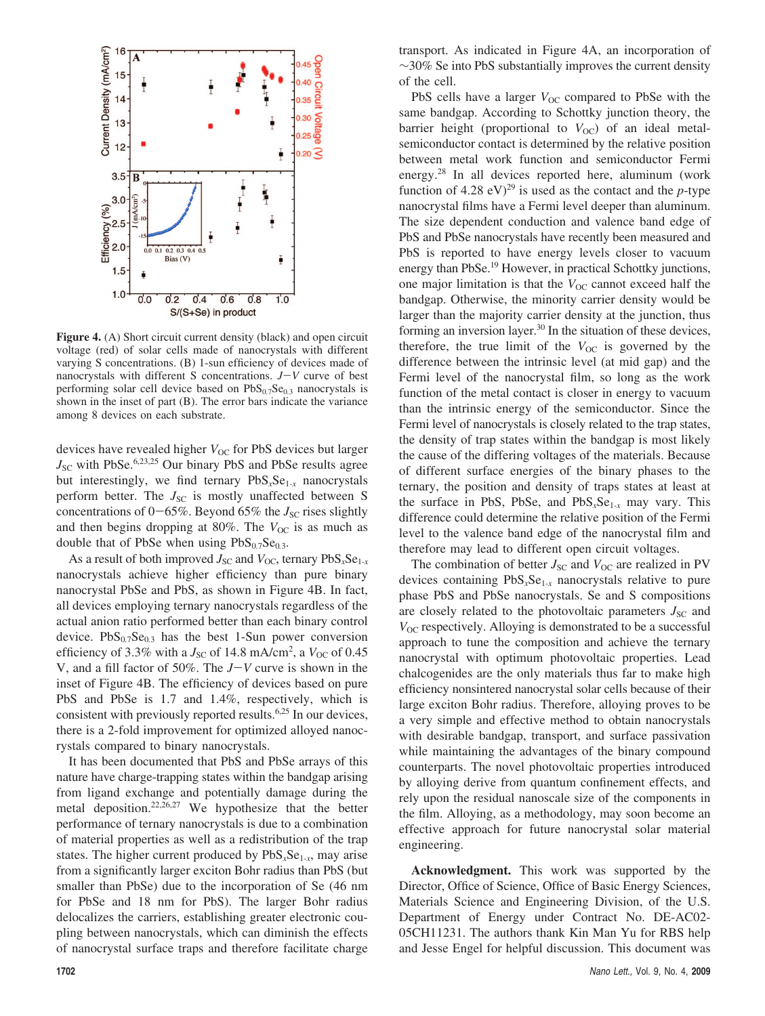

Figure 4. (A) Short circuit current density (black) and open circuit voltage (red) of solar cells made of nanocrystals with different varying S concentrations. (B) 1-sun efficiency of devices made of nanocrystals with different S concentrations.  $J-V$  curve of best performing solar cell device based on  $PbS<sub>0.7</sub>Se<sub>0.3</sub>$  nanocrystals is shown in the inset of part (B). The error bars indicate the variance among 8 devices on each substrate.

devices have revealed higher *V*<sub>OC</sub> for PbS devices but larger *J*<sub>SC</sub> with PbSe.<sup>6,23,25</sup> Our binary PbS and PbSe results agree but interestingly, we find ternary PbS<sub>x</sub>Se<sub>1-x</sub> nanocrystals perform better. The  $J_{SC}$  is mostly unaffected between S concentrations of  $0-65\%$ . Beyond 65% the *J*<sub>SC</sub> rises slightly and then begins dropping at 80%. The  $V_{\text{OC}}$  is as much as double that of PbSe when using  $PbS_{0.7}Se_{0.3}$ .

As a result of both improved  $J_{\rm SC}$  and  $V_{\rm OC}$ , ternary  $PbS_xSe_{1-x}$ nanocrystals achieve higher efficiency than pure binary nanocrystal PbSe and PbS, as shown in Figure 4B. In fact, all devices employing ternary nanocrystals regardless of the actual anion ratio performed better than each binary control device.  $PbS_{0.7}Se_{0.3}$  has the best 1-Sun power conversion efficiency of 3.3% with a  $J_{\rm SC}$  of 14.8 mA/cm<sup>2</sup>, a  $V_{\rm OC}$  of 0.45 V, and a fill factor of 50%. The *<sup>J</sup>*-*<sup>V</sup>* curve is shown in the inset of Figure 4B. The efficiency of devices based on pure PbS and PbSe is 1.7 and 1.4%, respectively, which is consistent with previously reported results.6,25 In our devices, there is a 2-fold improvement for optimized alloyed nanocrystals compared to binary nanocrystals.

It has been documented that PbS and PbSe arrays of this nature have charge-trapping states within the bandgap arising from ligand exchange and potentially damage during the metal deposition.<sup>22,26,27</sup> We hypothesize that the better performance of ternary nanocrystals is due to a combination of material properties as well as a redistribution of the trap states. The higher current produced by PbS*x*Se1*-x*, may arise from a significantly larger exciton Bohr radius than PbS (but smaller than PbSe) due to the incorporation of Se (46 nm for PbSe and 18 nm for PbS). The larger Bohr radius delocalizes the carriers, establishing greater electronic coupling between nanocrystals, which can diminish the effects of nanocrystal surface traps and therefore facilitate charge transport. As indicated in Figure 4A, an incorporation of ∼30% Se into PbS substantially improves the current density of the cell.

PbS cells have a larger *V*<sub>OC</sub> compared to PbSe with the same bandgap. According to Schottky junction theory, the barrier height (proportional to  $V_{\text{OC}}$ ) of an ideal metalsemiconductor contact is determined by the relative position between metal work function and semiconductor Fermi energy.28 In all devices reported here, aluminum (work function of 4.28 eV)<sup>29</sup> is used as the contact and the *p*-type nanocrystal films have a Fermi level deeper than aluminum. The size dependent conduction and valence band edge of PbS and PbSe nanocrystals have recently been measured and PbS is reported to have energy levels closer to vacuum energy than PbSe.<sup>19</sup> However, in practical Schottky junctions, one major limitation is that the  $V_{OC}$  cannot exceed half the bandgap. Otherwise, the minority carrier density would be larger than the majority carrier density at the junction, thus forming an inversion layer. $30$  In the situation of these devices, therefore, the true limit of the  $V_{OC}$  is governed by the difference between the intrinsic level (at mid gap) and the Fermi level of the nanocrystal film, so long as the work function of the metal contact is closer in energy to vacuum than the intrinsic energy of the semiconductor. Since the Fermi level of nanocrystals is closely related to the trap states, the density of trap states within the bandgap is most likely the cause of the differing voltages of the materials. Because of different surface energies of the binary phases to the ternary, the position and density of traps states at least at the surface in PbS, PbSe, and PbS*x*Se1*-x* may vary. This difference could determine the relative position of the Fermi level to the valence band edge of the nanocrystal film and therefore may lead to different open circuit voltages.

The combination of better  $J_{SC}$  and  $V_{OC}$  are realized in PV devices containing PbS*x*Se1*-x* nanocrystals relative to pure phase PbS and PbSe nanocrystals. Se and S compositions are closely related to the photovoltaic parameters  $J_{\rm SC}$  and  $V_{\text{OC}}$  respectively. Alloying is demonstrated to be a successful approach to tune the composition and achieve the ternary nanocrystal with optimum photovoltaic properties. Lead chalcogenides are the only materials thus far to make high efficiency nonsintered nanocrystal solar cells because of their large exciton Bohr radius. Therefore, alloying proves to be a very simple and effective method to obtain nanocrystals with desirable bandgap, transport, and surface passivation while maintaining the advantages of the binary compound counterparts. The novel photovoltaic properties introduced by alloying derive from quantum confinement effects, and rely upon the residual nanoscale size of the components in the film. Alloying, as a methodology, may soon become an effective approach for future nanocrystal solar material engineering.

**Acknowledgment.** This work was supported by the Director, Office of Science, Office of Basic Energy Sciences, Materials Science and Engineering Division, of the U.S. Department of Energy under Contract No. DE-AC02- 05CH11231. The authors thank Kin Man Yu for RBS help and Jesse Engel for helpful discussion. This document was